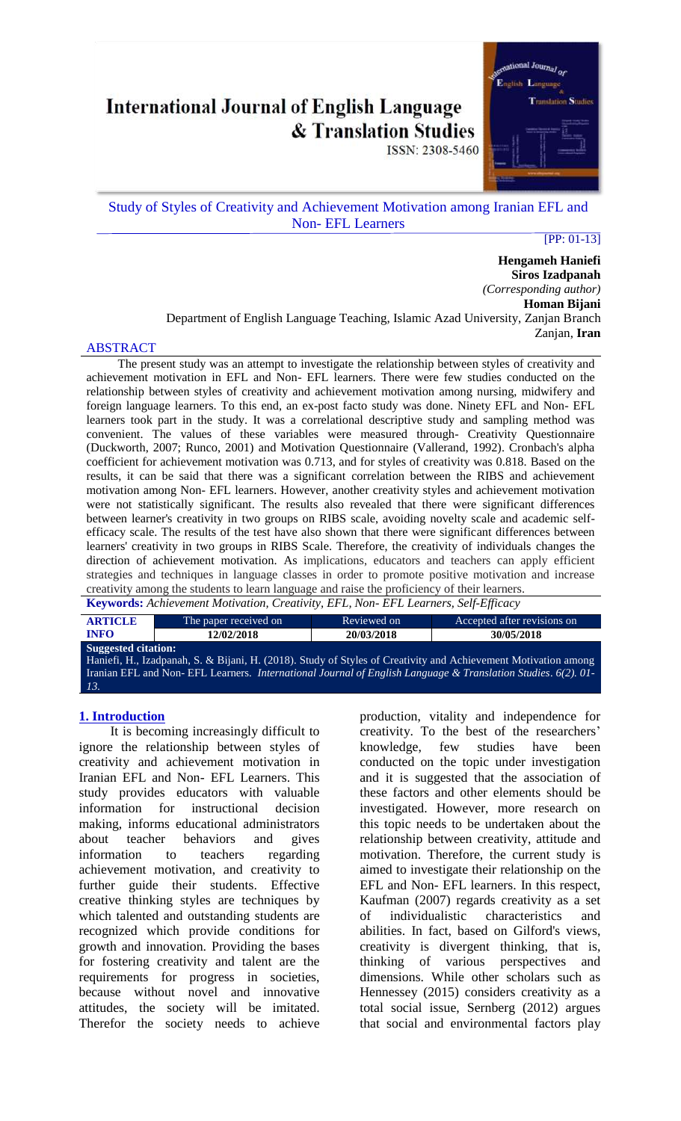# **International Journal of English Language & Translation Studies**

ISSN: 2308-5460



# Study of Styles of Creativity and Achievement Motivation among Iranian EFL and Non- EFL Learners

[PP: 01-13]

**Hengameh Haniefi Siros Izadpanah** *(Corresponding author)* **Homan Bijani** Department of English Language Teaching, Islamic Azad University, Zanjan Branch Zanjan, **Iran**

#### ABSTRACT

The present study was an attempt to investigate the relationship between styles of creativity and achievement motivation in EFL and Non- EFL learners. There were few studies conducted on the relationship between styles of creativity and achievement motivation among nursing, midwifery and foreign language learners. To this end, an ex-post facto study was done. Ninety EFL and Non- EFL learners took part in the study. It was a correlational descriptive study and sampling method was convenient. The values of these variables were measured through- Creativity Questionnaire (Duckworth, 2007; Runco, 2001) and Motivation Questionnaire (Vallerand, 1992). Cronbach's alpha coefficient for achievement motivation was 0.713, and for styles of creativity was 0.818. Based on the results, it can be said that there was a significant correlation between the RIBS and achievement motivation among Non- EFL learners. However, another creativity styles and achievement motivation were not statistically significant. The results also revealed that there were significant differences between learner's creativity in two groups on RIBS scale, avoiding novelty scale and academic selfefficacy scale. The results of the test have also shown that there were significant differences between learners' creativity in two groups in RIBS Scale. Therefore, the creativity of individuals changes the direction of achievement motivation. As implications, educators and teachers can apply efficient strategies and techniques in language classes in order to promote positive motivation and increase creativity among the students to learn language and raise the proficiency of their learners. **Keywords:** *Achievement Motivation, Creativity, EFL, Non- EFL Learners, Self-Efficacy*

| <b>Reyworus.</b> Achievement Motivation, Creativity, EPL, <i>Non-EPL Learners</i> , Self-Efficacy                                                                                                                                                                   |                                        |             |                             |  |  |  |  |
|---------------------------------------------------------------------------------------------------------------------------------------------------------------------------------------------------------------------------------------------------------------------|----------------------------------------|-------------|-----------------------------|--|--|--|--|
| <b>ARTICLE</b>                                                                                                                                                                                                                                                      | The paper received on                  | Reviewed on | Accepted after revisions on |  |  |  |  |
| <b>INFO</b>                                                                                                                                                                                                                                                         | 20/03/2018<br>12/02/2018<br>30/05/2018 |             |                             |  |  |  |  |
| <b>Suggested citation:</b><br>Haniefi, H., Izadpanah, S. & Bijani, H. (2018). Study of Styles of Creativity and Achievement Motivation among<br>Iranian EFL and Non-EFL Learners. International Journal of English Language & Translation Studies. 6(2). 01-<br>13. |                                        |             |                             |  |  |  |  |

#### **1. Introduction**

It is becoming increasingly difficult to ignore the relationship between styles of creativity and achievement motivation in Iranian EFL and Non- EFL Learners. This study provides educators with valuable information for instructional decision making, informs educational administrators about teacher behaviors and gives information to teachers regarding achievement motivation, and creativity to further guide their students. Effective creative thinking styles are techniques by which talented and outstanding students are recognized which provide conditions for growth and innovation. Providing the bases for fostering creativity and talent are the requirements for progress in societies, because without novel and innovative attitudes, the society will be imitated. Therefor the society needs to achieve production, vitality and independence for creativity. To the best of the researchers' knowledge, few studies have been conducted on the topic under investigation and it is suggested that the association of these factors and other elements should be investigated. However, more research on this topic needs to be undertaken about the relationship between creativity, attitude and motivation. Therefore, the current study is aimed to investigate their relationship on the EFL and Non- EFL learners. In this respect, Kaufman (2007) regards creativity as a set of individualistic characteristics and abilities. In fact, based on Gilford's views, creativity is divergent thinking, that is, thinking of various perspectives and dimensions. While other scholars such as Hennessey (2015) considers creativity as a total social issue, Sernberg (2012) argues that social and environmental factors play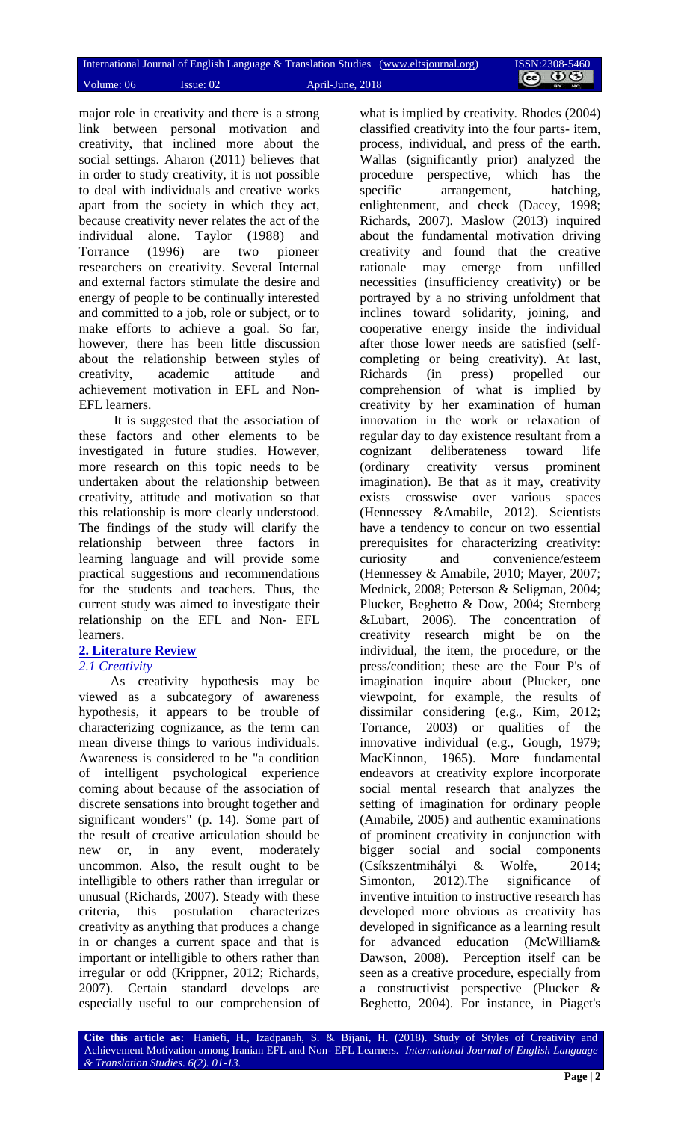major role in creativity and there is a strong link between personal motivation and creativity, that inclined more about the social settings. Aharon (2011) believes that in order to study creativity, it is not possible to deal with individuals and creative works apart from the society in which they act, because creativity never relates the act of the individual alone. Taylor (1988) and Torrance (1996) are two pioneer researchers on creativity. Several Internal and external factors stimulate the desire and energy of people to be continually interested and committed to a job, role or subject, or to make efforts to achieve a goal. So far, however, there has been little discussion about the relationship between styles of creativity, academic attitude and achievement motivation in EFL and Non-EFL learners.

It is suggested that the association of these factors and other elements to be investigated in future studies. However, more research on this topic needs to be undertaken about the relationship between creativity, attitude and motivation so that this relationship is more clearly understood. The findings of the study will clarify the relationship between three factors in learning language and will provide some practical suggestions and recommendations for the students and teachers. Thus, the current study was aimed to investigate their relationship on the EFL and Non- EFL learners.

# **2. Literature Review**

#### *2.1 Creativity*

As creativity hypothesis may be viewed as a subcategory of awareness hypothesis, it appears to be trouble of characterizing cognizance, as the term can mean diverse things to various individuals. Awareness is considered to be "a condition of intelligent psychological experience coming about because of the association of discrete sensations into brought together and significant wonders" (p. 14). Some part of the result of creative articulation should be new or, in any event, moderately uncommon. Also, the result ought to be intelligible to others rather than irregular or unusual (Richards, 2007). Steady with these criteria, this postulation characterizes creativity as anything that produces a change in or changes a current space and that is important or intelligible to others rather than irregular or odd (Krippner, 2012; Richards, 2007). Certain standard develops are especially useful to our comprehension of

what is implied by creativity. Rhodes (2004) classified creativity into the four parts- item, process, individual, and press of the earth. Wallas (significantly prior) analyzed the procedure perspective, which has the specific arrangement, hatching, enlightenment, and check (Dacey, 1998; Richards, 2007). Maslow (2013) inquired about the fundamental motivation driving creativity and found that the creative rationale may emerge from unfilled necessities (insufficiency creativity) or be portrayed by a no striving unfoldment that inclines toward solidarity, joining, and cooperative energy inside the individual after those lower needs are satisfied (selfcompleting or being creativity). At last, Richards (in press) propelled our comprehension of what is implied by creativity by her examination of human innovation in the work or relaxation of regular day to day existence resultant from a cognizant deliberateness toward life (ordinary creativity versus prominent imagination). Be that as it may, creativity exists crosswise over various spaces (Hennessey &Amabile, 2012). Scientists have a tendency to concur on two essential prerequisites for characterizing creativity: curiosity and convenience/esteem (Hennessey & Amabile, 2010; Mayer, 2007; Mednick, 2008; Peterson & Seligman, 2004; Plucker, Beghetto & Dow, 2004; Sternberg &Lubart, 2006). The concentration of creativity research might be on the individual, the item, the procedure, or the press/condition; these are the Four P's of imagination inquire about (Plucker, one viewpoint, for example, the results of dissimilar considering (e.g., Kim, 2012; Torrance, 2003) or qualities of the innovative individual (e.g., Gough, 1979; MacKinnon, 1965). More fundamental endeavors at creativity explore incorporate social mental research that analyzes the setting of imagination for ordinary people (Amabile, 2005) and authentic examinations of prominent creativity in conjunction with bigger social and social components (Csíkszentmihályi & Wolfe, 2014; Simonton, 2012). The significance of inventive intuition to instructive research has developed more obvious as creativity has developed in significance as a learning result for advanced education (McWilliam& Dawson, 2008). Perception itself can be seen as a creative procedure, especially from a constructivist perspective (Plucker & Beghetto, 2004). For instance, in Piaget's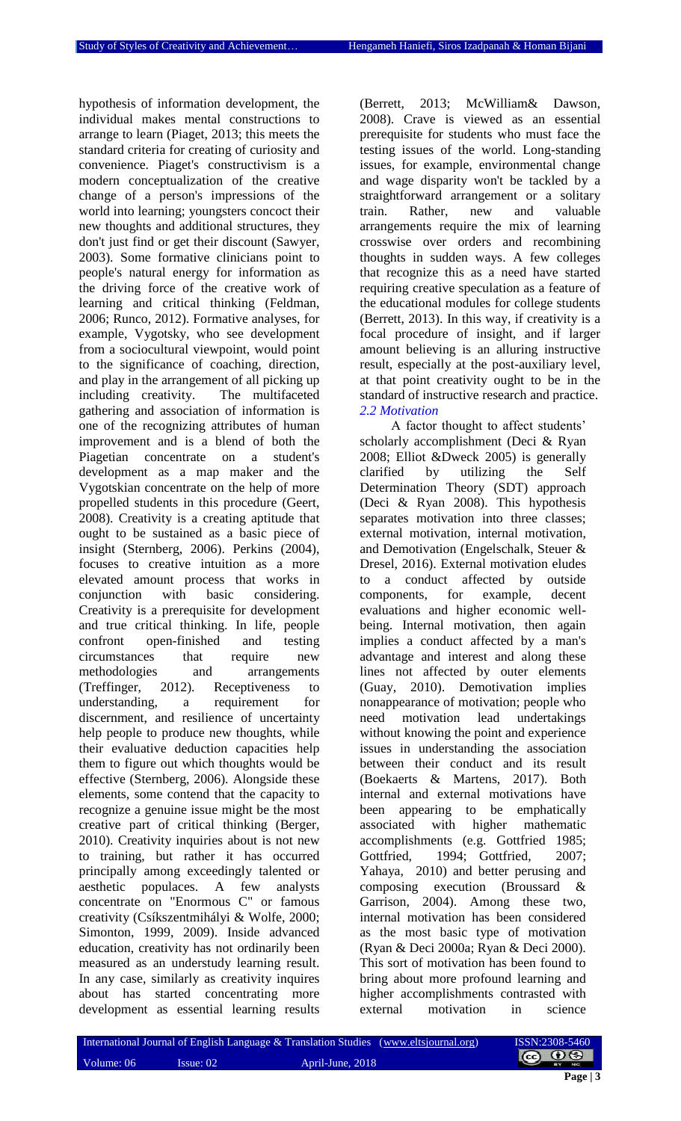hypothesis of information development, the individual makes mental constructions to arrange to learn (Piaget, 2013; this meets the standard criteria for creating of curiosity and convenience. Piaget's constructivism is a modern conceptualization of the creative change of a person's impressions of the world into learning; youngsters concoct their new thoughts and additional structures, they don't just find or get their discount (Sawyer, 2003). Some formative clinicians point to people's natural energy for information as the driving force of the creative work of learning and critical thinking (Feldman, 2006; Runco, 2012). Formative analyses, for example, Vygotsky, who see development from a sociocultural viewpoint, would point to the significance of coaching, direction, and play in the arrangement of all picking up including creativity. The multifaceted gathering and association of information is one of the recognizing attributes of human improvement and is a blend of both the Piagetian concentrate on a student's development as a map maker and the Vygotskian concentrate on the help of more propelled students in this procedure (Geert, 2008). Creativity is a creating aptitude that ought to be sustained as a basic piece of insight (Sternberg, 2006). Perkins (2004), focuses to creative intuition as a more elevated amount process that works in conjunction with basic considering. Creativity is a prerequisite for development and true critical thinking. In life, people confront open-finished and testing circumstances that require new methodologies and arrangements (Treffinger, 2012). Receptiveness to understanding, a requirement for discernment, and resilience of uncertainty help people to produce new thoughts, while their evaluative deduction capacities help them to figure out which thoughts would be effective (Sternberg, 2006). Alongside these elements, some contend that the capacity to recognize a genuine issue might be the most creative part of critical thinking (Berger, 2010). Creativity inquiries about is not new to training, but rather it has occurred principally among exceedingly talented or aesthetic populaces. A few analysts concentrate on "Enormous C" or famous creativity (Csíkszentmihályi & Wolfe, 2000; Simonton, 1999, 2009). Inside advanced education, creativity has not ordinarily been measured as an understudy learning result. In any case, similarly as creativity inquires about has started concentrating more development as essential learning results

(Berrett, 2013; McWilliam& Dawson, 2008). Crave is viewed as an essential prerequisite for students who must face the testing issues of the world. Long-standing issues, for example, environmental change and wage disparity won't be tackled by a straightforward arrangement or a solitary train. Rather, new and valuable arrangements require the mix of learning crosswise over orders and recombining thoughts in sudden ways. A few colleges that recognize this as a need have started requiring creative speculation as a feature of the educational modules for college students (Berrett, 2013). In this way, if creativity is a focal procedure of insight, and if larger amount believing is an alluring instructive result, especially at the post-auxiliary level, at that point creativity ought to be in the standard of instructive research and practice. *2.2 Motivation*

A factor thought to affect students' scholarly accomplishment (Deci & Ryan 2008; Elliot &Dweck 2005) is generally clarified by utilizing the Self Determination Theory (SDT) approach (Deci & Ryan 2008). This hypothesis separates motivation into three classes; external motivation, internal motivation, and Demotivation (Engelschalk, Steuer & Dresel, 2016). External motivation eludes to a conduct affected by outside components, for example, decent evaluations and higher economic wellbeing. Internal motivation, then again implies a conduct affected by a man's advantage and interest and along these lines not affected by outer elements (Guay, 2010). Demotivation implies nonappearance of motivation; people who need motivation lead undertakings without knowing the point and experience issues in understanding the association between their conduct and its result (Boekaerts & Martens, 2017). Both internal and external motivations have been appearing to be emphatically associated with higher mathematic accomplishments (e.g. Gottfried 1985; Gottfried, 1994; Gottfried, 2007; Yahaya, 2010) and better perusing and composing execution (Broussard & Garrison, 2004). Among these two, internal motivation has been considered as the most basic type of motivation (Ryan & Deci 2000a; Ryan & Deci 2000). This sort of motivation has been found to bring about more profound learning and higher accomplishments contrasted with external motivation in science

|            |              | International Journal of English Language & Translation Studies (www.eltsjournal.org) |  |
|------------|--------------|---------------------------------------------------------------------------------------|--|
| Volume: 06 | $I$ ssue: 02 | April-June, 2018                                                                      |  |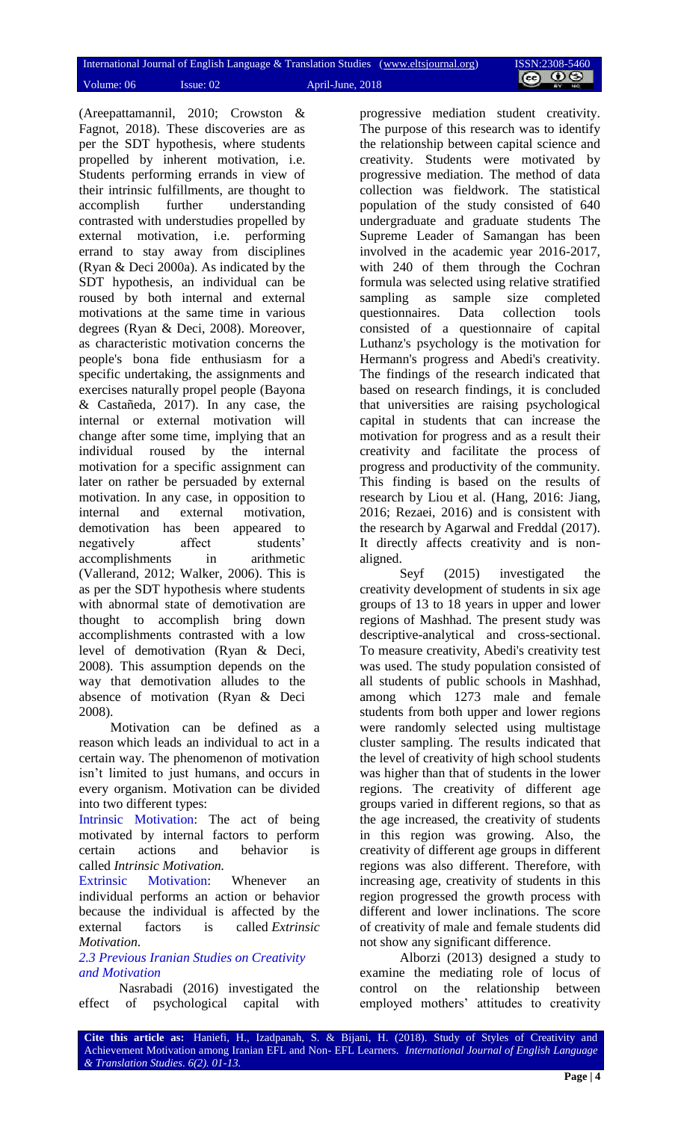(Areepattamannil, 2010; Crowston & Fagnot, 2018). These discoveries are as per the SDT hypothesis, where students propelled by inherent motivation, i.e. Students performing errands in view of their intrinsic fulfillments, are thought to accomplish further understanding contrasted with understudies propelled by external motivation, i.e. performing errand to stay away from disciplines (Ryan & Deci 2000a). As indicated by the SDT hypothesis, an individual can be roused by both internal and external motivations at the same time in various degrees (Ryan & Deci, 2008). Moreover, as characteristic motivation concerns the people's bona fide enthusiasm for a specific undertaking, the assignments and exercises naturally propel people (Bayona & Castañeda, 2017). In any case, the internal or external motivation will change after some time, implying that an individual roused by the internal motivation for a specific assignment can later on rather be persuaded by external motivation. In any case, in opposition to internal and external motivation, demotivation has been appeared to negatively affect students' accomplishments in arithmetic (Vallerand, 2012; Walker, 2006). This is as per the SDT hypothesis where students with abnormal state of demotivation are thought to accomplish bring down accomplishments contrasted with a low level of demotivation (Ryan & Deci, 2008). This assumption depends on the way that demotivation alludes to the absence of motivation (Ryan & Deci 2008).

Motivation can be defined as a reason which leads an individual to act in a certain way. The phenomenon of motivation isn't limited to just humans, and occurs in every organism. Motivation can be divided into two different types:

Intrinsic Motivation: The act of being motivated by internal factors to perform certain actions and behavior is called *Intrinsic Motivation.*

Extrinsic Motivation: Whenever an individual performs an action or behavior because the individual is affected by the external factors is called *Extrinsic Motivation*.

# *2.3 Previous Iranian Studies on Creativity and Motivation*

Nasrabadi (2016) investigated the effect of psychological capital with progressive mediation student creativity. The purpose of this research was to identify the relationship between capital science and creativity. Students were motivated by progressive mediation. The method of data collection was fieldwork. The statistical population of the study consisted of 640 undergraduate and graduate students The Supreme Leader of Samangan has been involved in the academic year 2016-2017, with 240 of them through the Cochran formula was selected using relative stratified sampling as sample size completed questionnaires. Data collection tools consisted of a questionnaire of capital Luthanz's psychology is the motivation for Hermann's progress and Abedi's creativity. The findings of the research indicated that based on research findings, it is concluded that universities are raising psychological capital in students that can increase the motivation for progress and as a result their creativity and facilitate the process of progress and productivity of the community. This finding is based on the results of research by Liou et al. (Hang, 2016: Jiang, 2016; Rezaei, 2016) and is consistent with the research by Agarwal and Freddal (2017). It directly affects creativity and is nonaligned.

Seyf (2015) investigated the creativity development of students in six age groups of 13 to 18 years in upper and lower regions of Mashhad. The present study was descriptive-analytical and cross-sectional. To measure creativity, Abedi's creativity test was used. The study population consisted of all students of public schools in Mashhad, among which 1273 male and female students from both upper and lower regions were randomly selected using multistage cluster sampling. The results indicated that the level of creativity of high school students was higher than that of students in the lower regions. The creativity of different age groups varied in different regions, so that as the age increased, the creativity of students in this region was growing. Also, the creativity of different age groups in different regions was also different. Therefore, with increasing age, creativity of students in this region progressed the growth process with different and lower inclinations. The score of creativity of male and female students did not show any significant difference.

Alborzi (2013) designed a study to examine the mediating role of locus of control on the relationship between employed mothers' attitudes to creativity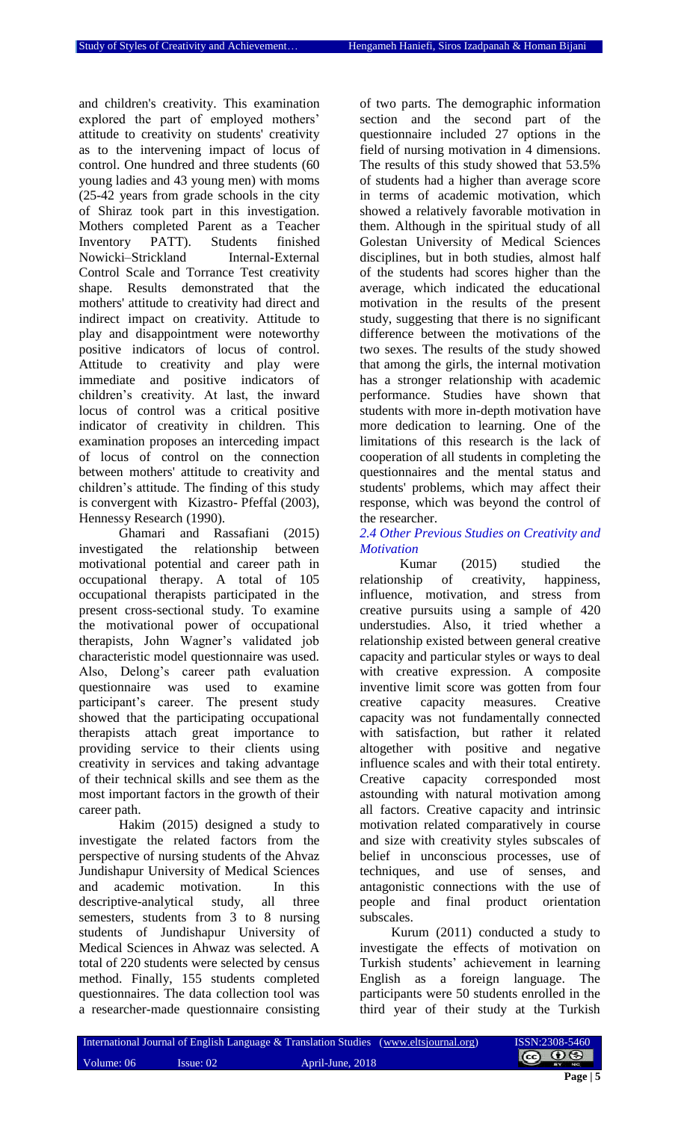and children's creativity. This examination explored the part of employed mothers' attitude to creativity on students' creativity as to the intervening impact of locus of control. One hundred and three students (60 young ladies and 43 young men) with moms (25-42 years from grade schools in the city of Shiraz took part in this investigation. Mothers completed Parent as a Teacher Inventory PATT). Students finished Nowicki–Strickland Internal-External Control Scale and Torrance Test creativity shape. Results demonstrated that the mothers' attitude to creativity had direct and indirect impact on creativity. Attitude to play and disappointment were noteworthy positive indicators of locus of control. Attitude to creativity and play were immediate and positive indicators of children's creativity. At last, the inward locus of control was a critical positive indicator of creativity in children. This examination proposes an interceding impact of locus of control on the connection between mothers' attitude to creativity and children's attitude. The finding of this study is convergent with Kizastro- Pfeffal (2003), Hennessy Research (1990).

Ghamari and Rassafiani (2015) investigated the relationship between motivational potential and career path in occupational therapy. A total of 105 occupational therapists participated in the present cross-sectional study. To examine the motivational power of occupational therapists, John Wagner's validated job characteristic model questionnaire was used. Also, Delong's career path evaluation questionnaire was used to examine participant's career. The present study showed that the participating occupational therapists attach great importance to providing service to their clients using creativity in services and taking advantage of their technical skills and see them as the most important factors in the growth of their career path.

Hakim (2015) designed a study to investigate the related factors from the perspective of nursing students of the Ahvaz Jundishapur University of Medical Sciences and academic motivation. In this descriptive-analytical study, all three semesters, students from 3 to 8 nursing students of Jundishapur University of Medical Sciences in Ahwaz was selected. A total of 220 students were selected by census method. Finally, 155 students completed questionnaires. The data collection tool was a researcher-made questionnaire consisting of two parts. The demographic information section and the second part of the questionnaire included 27 options in the field of nursing motivation in 4 dimensions. The results of this study showed that 53.5% of students had a higher than average score in terms of academic motivation, which showed a relatively favorable motivation in them. Although in the spiritual study of all Golestan University of Medical Sciences disciplines, but in both studies, almost half of the students had scores higher than the average, which indicated the educational motivation in the results of the present study, suggesting that there is no significant difference between the motivations of the two sexes. The results of the study showed that among the girls, the internal motivation has a stronger relationship with academic performance. Studies have shown that students with more in-depth motivation have more dedication to learning. One of the limitations of this research is the lack of cooperation of all students in completing the questionnaires and the mental status and students' problems, which may affect their response, which was beyond the control of the researcher.

#### *2.4 Other Previous Studies on Creativity and Motivation*

Kumar (2015) studied the relationship of creativity, happiness, influence, motivation, and stress from creative pursuits using a sample of 420 understudies. Also, it tried whether a relationship existed between general creative capacity and particular styles or ways to deal with creative expression. A composite inventive limit score was gotten from four creative capacity measures. Creative capacity was not fundamentally connected with satisfaction, but rather it related altogether with positive and negative influence scales and with their total entirety. Creative capacity corresponded most astounding with natural motivation among all factors. Creative capacity and intrinsic motivation related comparatively in course and size with creativity styles subscales of belief in unconscious processes, use of techniques, and use of senses, and antagonistic connections with the use of people and final product orientation subscales.

Kurum (2011) conducted a study to investigate the effects of motivation on Turkish students' achievement in learning English as a foreign language. The participants were 50 students enrolled in the third year of their study at the Turkish

|            |           | International Journal of English Language & Translation Studies (www.eltsjournal.org) | ISSN:2308-5460 |
|------------|-----------|---------------------------------------------------------------------------------------|----------------|
| Volume: 06 | Issue: 02 | April-June, 2018                                                                      | © 0⊜           |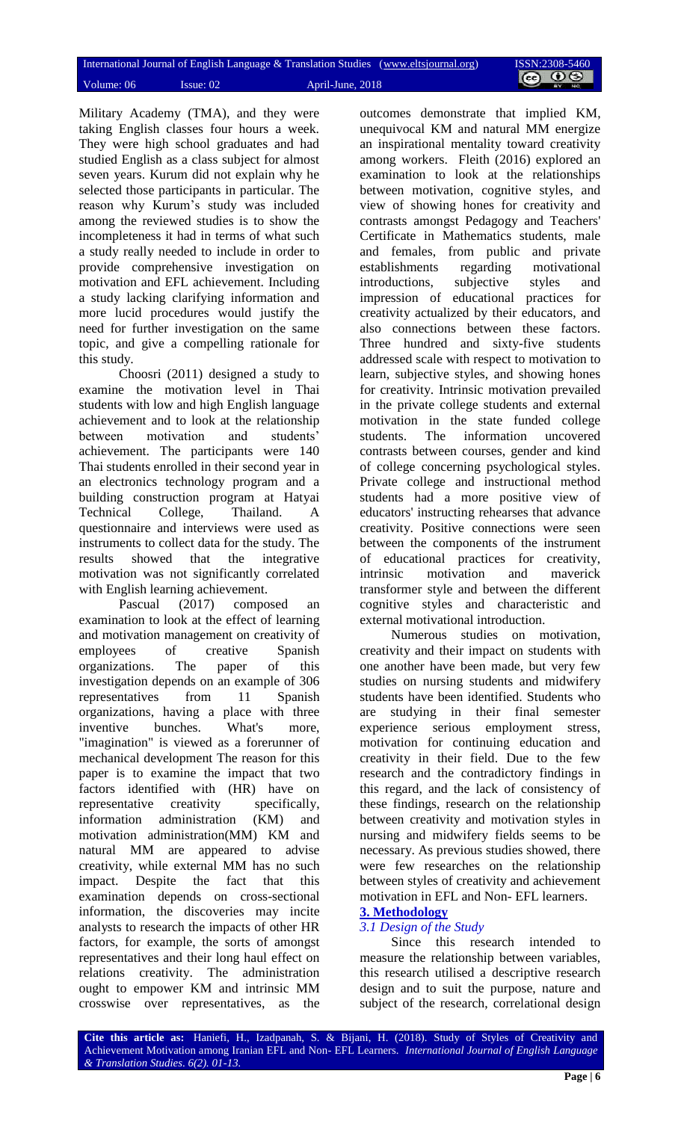|            |           | International Journal of English Language & Translation Studies (www.eltsjournal.org) | ISSN:2308-5460 |
|------------|-----------|---------------------------------------------------------------------------------------|----------------|
| Volume: 06 | Issue: 02 | April-June, 2018                                                                      | <b>@ 00</b>    |

Military Academy (TMA), and they were taking English classes four hours a week. They were high school graduates and had studied English as a class subject for almost seven years. Kurum did not explain why he selected those participants in particular. The reason why Kurum's study was included among the reviewed studies is to show the incompleteness it had in terms of what such a study really needed to include in order to provide comprehensive investigation on motivation and EFL achievement. Including a study lacking clarifying information and more lucid procedures would justify the need for further investigation on the same topic, and give a compelling rationale for this study.

Choosri (2011) designed a study to examine the motivation level in Thai students with low and high English language achievement and to look at the relationship between motivation and students' achievement. The participants were 140 Thai students enrolled in their second year in an electronics technology program and a building construction program at Hatyai Technical College, Thailand. A questionnaire and interviews were used as instruments to collect data for the study. The results showed that the integrative motivation was not significantly correlated with English learning achievement.

Pascual (2017) composed an examination to look at the effect of learning and motivation management on creativity of employees of creative Spanish organizations. The paper of this investigation depends on an example of 306 representatives from 11 Spanish organizations, having a place with three inventive bunches. What's more, "imagination" is viewed as a forerunner of mechanical development The reason for this paper is to examine the impact that two factors identified with (HR) have on representative creativity specifically, information administration (KM) and motivation administration(MM) KM and natural MM are appeared to advise creativity, while external MM has no such impact. Despite the fact that this examination depends on cross-sectional information, the discoveries may incite analysts to research the impacts of other HR factors, for example, the sorts of amongst representatives and their long haul effect on relations creativity. The administration ought to empower KM and intrinsic MM crosswise over representatives, as the

outcomes demonstrate that implied KM, unequivocal KM and natural MM energize an inspirational mentality toward creativity among workers. Fleith (2016) explored an examination to look at the relationships between motivation, cognitive styles, and view of showing hones for creativity and contrasts amongst Pedagogy and Teachers' Certificate in Mathematics students, male and females, from public and private establishments regarding motivational introductions, subjective styles and impression of educational practices for creativity actualized by their educators, and also connections between these factors. Three hundred and sixty-five students addressed scale with respect to motivation to learn, subjective styles, and showing hones for creativity. Intrinsic motivation prevailed in the private college students and external motivation in the state funded college students. The information uncovered contrasts between courses, gender and kind of college concerning psychological styles. Private college and instructional method students had a more positive view of educators' instructing rehearses that advance creativity. Positive connections were seen between the components of the instrument of educational practices for creativity, intrinsic motivation and maverick transformer style and between the different cognitive styles and characteristic and external motivational introduction.

Numerous studies on motivation, creativity and their impact on students with one another have been made, but very few studies on nursing students and midwifery students have been identified. Students who are studying in their final semester experience serious employment stress, motivation for continuing education and creativity in their field. Due to the few research and the contradictory findings in this regard, and the lack of consistency of these findings, research on the relationship between creativity and motivation styles in nursing and midwifery fields seems to be necessary. As previous studies showed, there were few researches on the relationship between styles of creativity and achievement motivation in EFL and Non- EFL learners.

# **3. Methodology**

### *3.1 Design of the Study*

Since this research intended to measure the relationship between variables, this research utilised a descriptive research design and to suit the purpose, nature and subject of the research, correlational design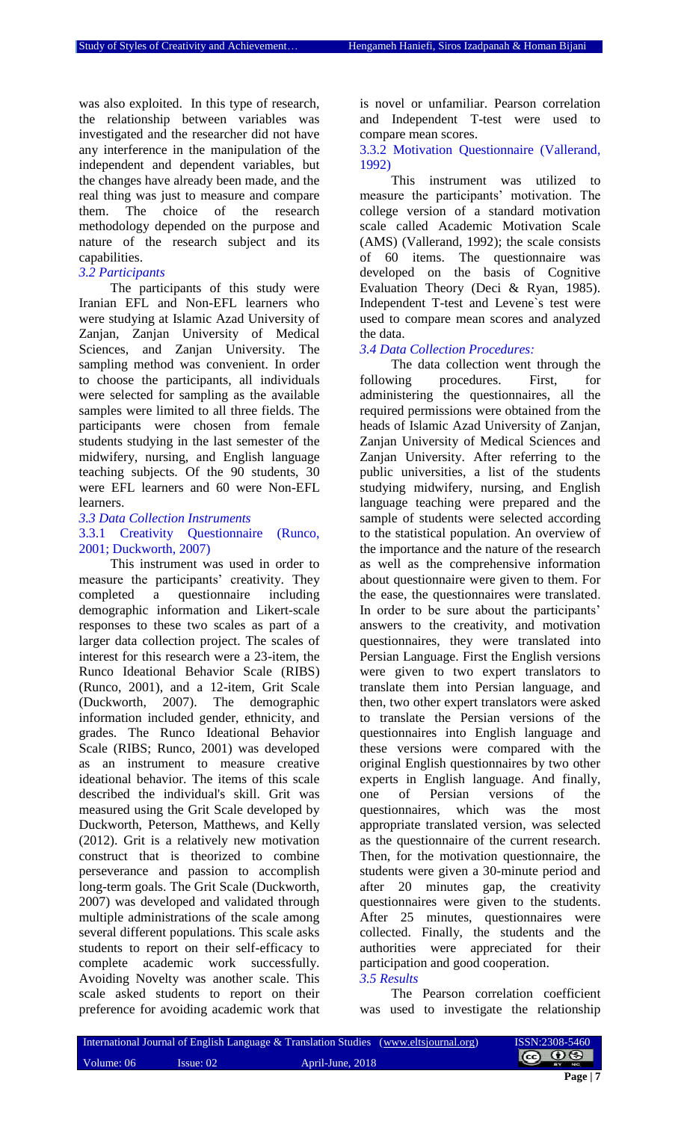was also exploited. In this type of research, the relationship between variables was investigated and the researcher did not have any interference in the manipulation of the independent and dependent variables, but the changes have already been made, and the real thing was just to measure and compare<br>them. The choice of the research them. The choice of the research methodology depended on the purpose and nature of the research subject and its capabilities.

#### *3.2 Participants*

The participants of this study were Iranian EFL and Non-EFL learners who were studying at Islamic Azad University of Zanjan, Zanjan University of Medical Sciences, and Zanjan University. The sampling method was convenient. In order to choose the participants, all individuals were selected for sampling as the available samples were limited to all three fields. The participants were chosen from female students studying in the last semester of the midwifery, nursing, and English language teaching subjects. Of the 90 students, 30 were EFL learners and 60 were Non-EFL learners.

#### *3.3 Data Collection Instruments*

#### 3.3.1 Creativity Questionnaire (Runco, 2001; Duckworth, 2007)

This instrument was used in order to measure the participants' creativity. They completed a questionnaire including demographic information and Likert-scale responses to these two scales as part of a larger data collection project. The scales of interest for this research were a 23-item, the Runco Ideational Behavior Scale (RIBS) (Runco, 2001), and a 12-item, Grit Scale (Duckworth, 2007). The demographic information included gender, ethnicity, and grades. The Runco Ideational Behavior Scale (RIBS; Runco, 2001) was developed as an instrument to measure creative ideational behavior. The items of this scale described the individual's skill. Grit was measured using the Grit Scale developed by Duckworth, Peterson, Matthews, and Kelly (2012). Grit is a relatively new motivation construct that is theorized to combine perseverance and passion to accomplish long-term goals. The Grit Scale (Duckworth, 2007) was developed and validated through multiple administrations of the scale among several different populations. This scale asks students to report on their self-efficacy to complete academic work successfully. Avoiding Novelty was another scale. This scale asked students to report on their preference for avoiding academic work that is novel or unfamiliar. Pearson correlation and Independent T-test were used to compare mean scores.

#### 3.3.2 Motivation Questionnaire (Vallerand, 1992)

This instrument was utilized to measure the participants' motivation. The college version of a standard motivation scale called Academic Motivation Scale (AMS) (Vallerand, 1992); the scale consists of 60 items. The questionnaire was developed on the basis of Cognitive Evaluation Theory (Deci & Ryan, 1985). Independent T-test and Levene`s test were used to compare mean scores and analyzed the data.

#### *3.4 Data Collection Procedures:*

The data collection went through the following procedures. First, for administering the questionnaires, all the required permissions were obtained from the heads of Islamic Azad University of Zanjan, Zanjan University of Medical Sciences and Zanjan University. After referring to the public universities, a list of the students studying midwifery, nursing, and English language teaching were prepared and the sample of students were selected according to the statistical population. An overview of the importance and the nature of the research as well as the comprehensive information about questionnaire were given to them. For the ease, the questionnaires were translated. In order to be sure about the participants' answers to the creativity, and motivation questionnaires, they were translated into Persian Language. First the English versions were given to two expert translators to translate them into Persian language, and then, two other expert translators were asked to translate the Persian versions of the questionnaires into English language and these versions were compared with the original English questionnaires by two other experts in English language. And finally, one of Persian versions of the questionnaires, which was the most appropriate translated version, was selected as the questionnaire of the current research. Then, for the motivation questionnaire, the students were given a 30-minute period and after 20 minutes gap, the creativity questionnaires were given to the students. After 25 minutes, questionnaires were collected. Finally, the students and the authorities were appreciated for their participation and good cooperation. *3.5 Results*

#### The Pearson correlation coefficient was used to investigate the relationship

|            |              | [International Journal of English Language & Translation Studies (www.eltsjournal.org) | ISSN:2308-5460    |
|------------|--------------|----------------------------------------------------------------------------------------|-------------------|
| Volume: 06 | $I$ ssue: 02 | April-June, 2018                                                                       | $\circ$ 0 $\circ$ |
|            |              |                                                                                        |                   |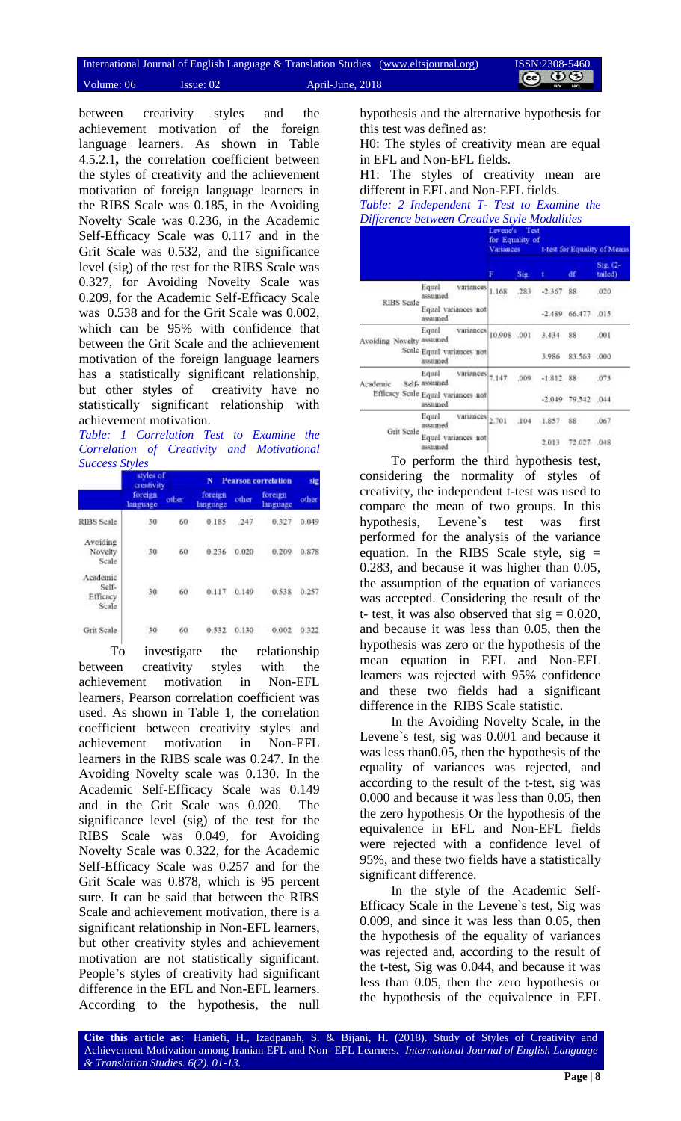|            | International Journal of English Language & Translation Studies (www.eltsjournal.org) |                  | ISSN:2308-5460    |
|------------|---------------------------------------------------------------------------------------|------------------|-------------------|
| Volume: 06 | Is sue: 02                                                                            | April-June, 2018 | $\circ$ 0 $\circ$ |

between creativity styles and the achievement motivation of the foreign language learners. As shown in Table 4.5.2.1**,** the correlation coefficient between the styles of creativity and the achievement motivation of foreign language learners in the RIBS Scale was 0.185, in the Avoiding Novelty Scale was 0.236, in the Academic Self-Efficacy Scale was 0.117 and in the Grit Scale was 0.532, and the significance level (sig) of the test for the RIBS Scale was 0.327, for Avoiding Novelty Scale was 0.209, for the Academic Self-Efficacy Scale was 0.538 and for the Grit Scale was 0.002, which can be 95% with confidence that between the Grit Scale and the achievement motivation of the foreign language learners has a statistically significant relationship, but other styles of creativity have no statistically significant relationship with achievement motivation.

*Table: 1 Correlation Test to Examine the Correlation of Creativity and Motivational Success Styles* 

|                                        | styles of<br>creativity |       | N                   |       | <b>Pearson correlation</b> | sig   |
|----------------------------------------|-------------------------|-------|---------------------|-------|----------------------------|-------|
|                                        | foreign<br>Innguage     | other | foreign<br>language | other | foreign<br>language        | other |
| <b>RIBS</b> Scale                      | 30                      | 60    | 0.185               | 247   | 0.327                      | 0.049 |
| Avoiding<br>Novelty<br>Scale           | 113,525<br>30           | 60    | 0.236               | 0.020 | 0.209                      | 0.878 |
| Academic<br>Self-<br>Efficacy<br>Scale | 30                      | 60    | 0.117               | 0.149 | 0.538                      | 0.257 |
| Grit Scale                             | 30                      | 60    | 0.532               | 0.130 | 0.002                      | 0.322 |

To investigate the relationship between creativity styles with the achievement motivation in Non-EFL learners, Pearson correlation coefficient was used. As shown in Table 1, the correlation coefficient between creativity styles and achievement motivation in Non-EFL learners in the RIBS scale was 0.247. In the Avoiding Novelty scale was 0.130. In the Academic Self-Efficacy Scale was 0.149 and in the Grit Scale was 0.020. The significance level (sig) of the test for the RIBS Scale was 0.049, for Avoiding Novelty Scale was 0.322, for the Academic Self-Efficacy Scale was 0.257 and for the Grit Scale was 0.878, which is 95 percent sure. It can be said that between the RIBS Scale and achievement motivation, there is a significant relationship in Non-EFL learners, but other creativity styles and achievement motivation are not statistically significant. People's styles of creativity had significant difference in the EFL and Non-EFL learners. According to the hypothesis, the null

hypothesis and the alternative hypothesis for this test was defined as:

H0: The styles of creativity mean are equal in EFL and Non-EFL fields.

H1: The styles of creativity mean are different in EFL and Non-EFL fields.

*Table: 2 Independent T- Test to Examine the Difference between Creative Style Modalities*

|                          |                                                   | Levene's<br>Test<br>for Equality of<br>Variances |        |             | t-test for Equality of Means |                     |
|--------------------------|---------------------------------------------------|--------------------------------------------------|--------|-------------|------------------------------|---------------------|
|                          |                                                   |                                                  | Sig.   |             | df                           | Sig. (2-<br>tailed) |
|                          | Equal<br>variances<br>assumed                     | 1.168                                            | .283   | $-2.367$    | 88                           | 020                 |
| <b>RIBS</b> Scale        | Equal variances not<br>assumed                    |                                                  |        | $-2.489$    | 66.477 .015                  |                     |
| Avoiding Novelty assumed | Equal<br>variances                                | 10.908 .001                                      |        | 3.434       | 88                           | .001                |
|                          | Scale Equal variances not<br>assumed              |                                                  |        | 3.986       | 83.563 .000                  |                     |
| Academic                 | Equal<br><b>Variances</b><br>Self-assumed         | 7.147                                            | .009   | $-1.812$ 88 |                              | 073                 |
|                          | Efficacy Scale Equal variances not<br>assumed     |                                                  |        | $-2.049$    | 79.542                       | .044                |
| Grit Scale               | Equal<br>variances<br>assumed                     | 2,701                                            | $-104$ | 1.857       | $88 -$                       | .067                |
|                          | Equal variances not<br>the first property and the |                                                  |        | 2.013       | 72.027                       | .048                |

To perform the third hypothesis test, considering the normality of styles of creativity, the independent t-test was used to compare the mean of two groups. In this hypothesis, Levene`s test was first performed for the analysis of the variance equation. In the RIBS Scale style,  $sig =$ 0.283, and because it was higher than 0.05, the assumption of the equation of variances was accepted. Considering the result of the t- test, it was also observed that  $sig = 0.020$ , and because it was less than 0.05, then the hypothesis was zero or the hypothesis of the mean equation in EFL and Non-EFL learners was rejected with 95% confidence and these two fields had a significant difference in the RIBS Scale statistic.

In the Avoiding Novelty Scale, in the Levene`s test, sig was 0.001 and because it was less than0.05, then the hypothesis of the equality of variances was rejected, and according to the result of the t-test, sig was 0.000 and because it was less than 0.05, then the zero hypothesis Or the hypothesis of the equivalence in EFL and Non-EFL fields were rejected with a confidence level of 95%, and these two fields have a statistically significant difference.

In the style of the Academic Self-Efficacy Scale in the Levene`s test, Sig was 0.009, and since it was less than 0.05, then the hypothesis of the equality of variances was rejected and, according to the result of the t-test, Sig was 0.044, and because it was less than 0.05, then the zero hypothesis or the hypothesis of the equivalence in EFL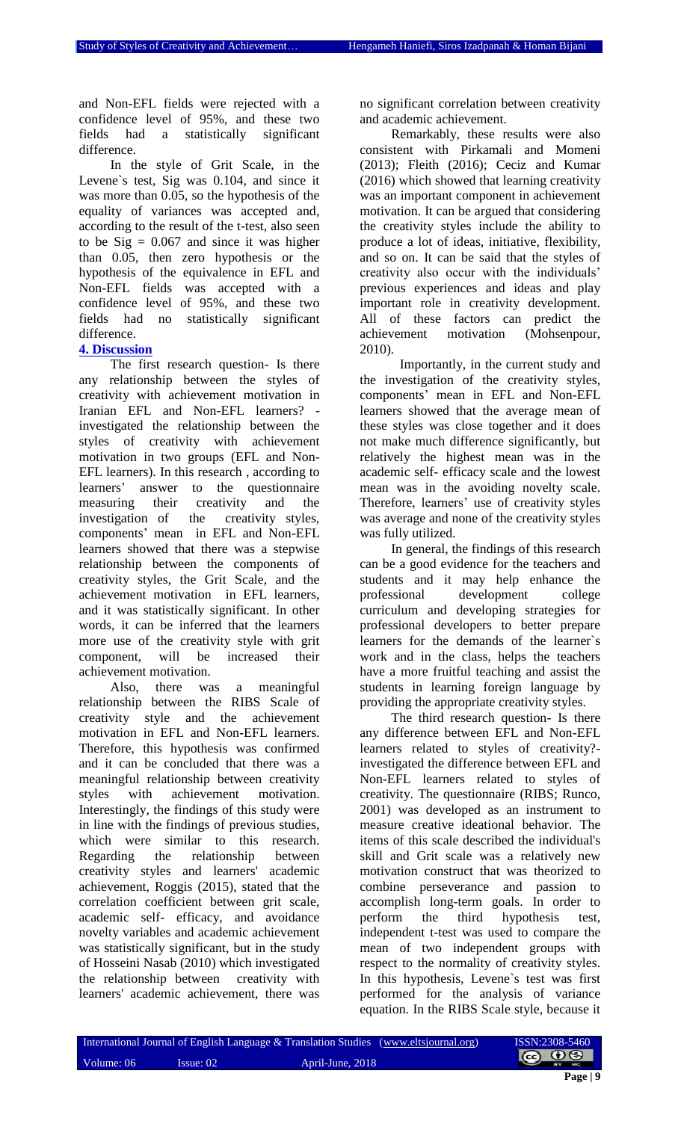and Non-EFL fields were rejected with a confidence level of 95%, and these two fields had a statistically significant difference.

In the style of Grit Scale, in the Levene`s test, Sig was 0.104, and since it was more than 0.05, so the hypothesis of the equality of variances was accepted and, according to the result of the t-test, also seen to be  $\text{Sig} = 0.067$  and since it was higher than 0.05, then zero hypothesis or the hypothesis of the equivalence in EFL and Non-EFL fields was accepted with a confidence level of 95%, and these two fields had no statistically significant difference.

### **4. Discussion**

The first research question- Is there any relationship between the styles of creativity with achievement motivation in Iranian EFL and Non-EFL learners? investigated the relationship between the styles of creativity with achievement motivation in two groups (EFL and Non-EFL learners). In this research , according to learners' answer to the questionnaire measuring their creativity and the investigation of the creativity styles, components' mean in EFL and Non-EFL learners showed that there was a stepwise relationship between the components of creativity styles, the Grit Scale, and the achievement motivation in EFL learners, and it was statistically significant. In other words, it can be inferred that the learners more use of the creativity style with grit component, will be increased their achievement motivation.

Also, there was a meaningful relationship between the RIBS Scale of creativity style and the achievement motivation in EFL and Non-EFL learners. Therefore, this hypothesis was confirmed and it can be concluded that there was a meaningful relationship between creativity styles with achievement motivation. Interestingly, the findings of this study were in line with the findings of previous studies, which were similar to this research. Regarding the relationship between creativity styles and learners' academic achievement, Roggis (2015), stated that the correlation coefficient between grit scale, academic self- efficacy, and avoidance novelty variables and academic achievement was statistically significant, but in the study of Hosseini Nasab (2010) which investigated the relationship between creativity with learners' academic achievement, there was

no significant correlation between creativity and academic achievement.

Remarkably, these results were also consistent with Pirkamali and Momeni (2013); Fleith (2016); Ceciz and Kumar (2016) which showed that learning creativity was an important component in achievement motivation. It can be argued that considering the creativity styles include the ability to produce a lot of ideas, initiative, flexibility, and so on. It can be said that the styles of creativity also occur with the individuals' previous experiences and ideas and play important role in creativity development. All of these factors can predict the achievement motivation (Mohsenpour, 2010).

Importantly, in the current study and the investigation of the creativity styles, components' mean in EFL and Non-EFL learners showed that the average mean of these styles was close together and it does not make much difference significantly, but relatively the highest mean was in the academic self- efficacy scale and the lowest mean was in the avoiding novelty scale. Therefore, learners' use of creativity styles was average and none of the creativity styles was fully utilized.

In general, the findings of this research can be a good evidence for the teachers and students and it may help enhance the professional development college curriculum and developing strategies for professional developers to better prepare learners for the demands of the learner`s work and in the class, helps the teachers have a more fruitful teaching and assist the students in learning foreign language by providing the appropriate creativity styles.

The third research question- Is there any difference between EFL and Non-EFL learners related to styles of creativity? investigated the difference between EFL and Non-EFL learners related to styles of creativity. The questionnaire (RIBS; Runco, 2001) was developed as an instrument to measure creative ideational behavior. The items of this scale described the individual's skill and Grit scale was a relatively new motivation construct that was theorized to combine perseverance and passion to accomplish long-term goals. In order to perform the third hypothesis test, independent t-test was used to compare the mean of two independent groups with respect to the normality of creativity styles. In this hypothesis, Levene`s test was first performed for the analysis of variance equation. In the RIBS Scale style, because it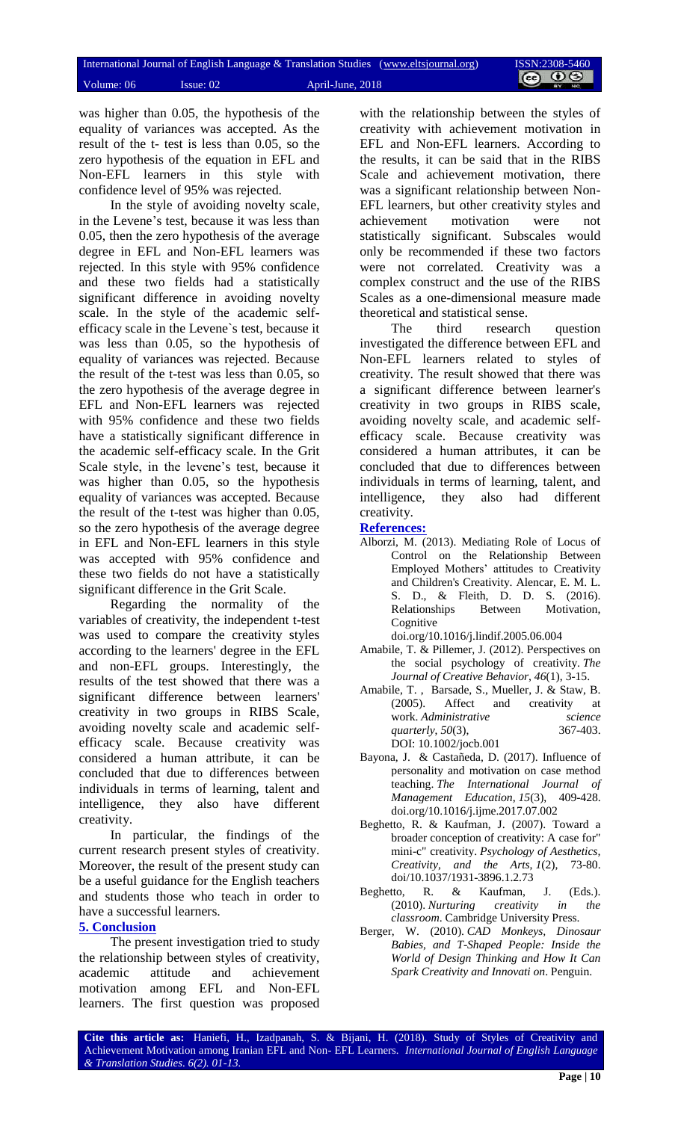was higher than 0.05, the hypothesis of the equality of variances was accepted. As the result of the t- test is less than 0.05, so the zero hypothesis of the equation in EFL and Non-EFL learners in this style with confidence level of 95% was rejected.

In the style of avoiding novelty scale, in the Levene's test, because it was less than 0.05, then the zero hypothesis of the average degree in EFL and Non-EFL learners was rejected. In this style with 95% confidence and these two fields had a statistically significant difference in avoiding novelty scale. In the style of the academic selfefficacy scale in the Levene`s test, because it was less than 0.05, so the hypothesis of equality of variances was rejected. Because the result of the t-test was less than 0.05, so the zero hypothesis of the average degree in EFL and Non-EFL learners was rejected with 95% confidence and these two fields have a statistically significant difference in the academic self-efficacy scale. In the Grit Scale style, in the levene's test, because it was higher than 0.05, so the hypothesis equality of variances was accepted. Because the result of the t-test was higher than 0.05, so the zero hypothesis of the average degree in EFL and Non-EFL learners in this style was accepted with 95% confidence and these two fields do not have a statistically significant difference in the Grit Scale.

Regarding the normality of the variables of creativity, the independent t-test was used to compare the creativity styles according to the learners' degree in the EFL and non-EFL groups. Interestingly, the results of the test showed that there was a significant difference between learners' creativity in two groups in RIBS Scale, avoiding novelty scale and academic selfefficacy scale. Because creativity was considered a human attribute, it can be concluded that due to differences between individuals in terms of learning, talent and intelligence, they also have different creativity.

In particular, the findings of the current research present styles of creativity. Moreover, the result of the present study can be a useful guidance for the English teachers and students those who teach in order to have a successful learners.

#### **5. Conclusion**

The present investigation tried to study the relationship between styles of creativity, academic attitude and achievement motivation among EFL and Non-EFL learners. The first question was proposed

with the relationship between the styles of creativity with achievement motivation in EFL and Non-EFL learners. According to the results, it can be said that in the RIBS Scale and achievement motivation, there was a significant relationship between Non-EFL learners, but other creativity styles and achievement motivation were not statistically significant. Subscales would only be recommended if these two factors were not correlated. Creativity was a complex construct and the use of the RIBS Scales as a one-dimensional measure made theoretical and statistical sense.

The third research question investigated the difference between EFL and Non-EFL learners related to styles of creativity. The result showed that there was a significant difference between learner's creativity in two groups in RIBS scale, avoiding novelty scale, and academic selfefficacy scale. Because creativity was considered a human attributes, it can be concluded that due to differences between individuals in terms of learning, talent, and intelligence, they also had different creativity.

#### **References:**

Alborzi, M. (2013). Mediating Role of Locus of Control on the Relationship Between Employed Mothers' attitudes to Creativity and Children's Creativity. Alencar, E. M. L. S. D., & Fleith, D. D. S. (2016). Relationships Between Motivation, Cognitive

doi.org/10.1016/j.lindif.2005.06.004

- Amabile, T. & Pillemer, J. (2012). Perspectives on the social psychology of creativity. *The Journal of Creative Behavior*, *46*(1), 3-15.
- Amabile, T. , Barsade, S., Mueller, J. & Staw, B. (2005). Affect and creativity at work. *Administrative science quarterly*, *50*(3), 367-403. DOI: 10.1002/jocb.001
- Bayona, J. & Castañeda, D. (2017). Influence of personality and motivation on case method teaching. *The International Journal of Management Education*, *15*(3), 409-428. doi.org/10.1016/j.ijme.2017.07.002
- Beghetto, R. & Kaufman, J. (2007). Toward a broader conception of creativity: A case for" mini-c" creativity. *Psychology of Aesthetics, Creativity, and the Arts*, *1*(2), 73-80. doi/10.1037/1931-3896.1.2.73
- Beghetto, R. & Kaufman, J. (Eds.). (2010). *Nurturing creativity in the classroom*. Cambridge University Press.
- Berger, W. (2010). *CAD Monkeys, Dinosaur Babies, and T-Shaped People: Inside the World of Design Thinking and How It Can Spark Creativity and Innovati on*. Penguin.

**Cite this article as:** Haniefi, H., Izadpanah, S. & Bijani, H. (2018). Study of Styles of Creativity and Achievement Motivation among Iranian EFL and Non- EFL Learners. *International Journal of English Language & Translation Studies*. *6(2). 01-13.*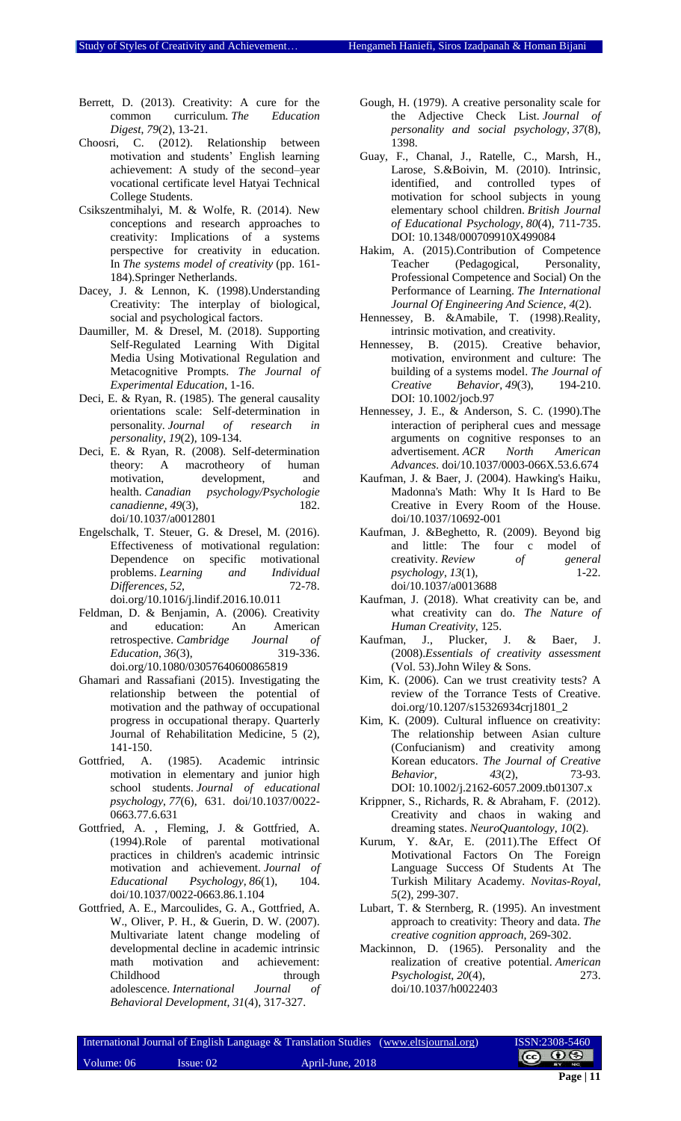- Berrett, D. (2013). Creativity: A cure for the common curriculum. *The Education Digest*, *79*(2), 13-21.
- Choosri, C. (2012). Relationship between motivation and students' English learning achievement: A study of the second–year vocational certificate level Hatyai Technical College Students.
- Csikszentmihalyi, M. & Wolfe, R. (2014). New conceptions and research approaches to creativity: Implications of a systems perspective for creativity in education. In *The systems model of creativity* (pp. 161- 184).Springer Netherlands.
- Dacey, J. & Lennon, K. (1998).Understanding Creativity: The interplay of biological, social and psychological factors.
- Daumiller, M. & Dresel, M. (2018). Supporting Self-Regulated Learning With Digital Media Using Motivational Regulation and Metacognitive Prompts. *The Journal of Experimental Education*, 1-16.
- Deci, E. & Ryan, R. (1985). The general causality orientations scale: Self-determination in personality. *Journal of research in personality*, *19*(2), 109-134.
- Deci, E. & Ryan, R. (2008). Self-determination theory: A macrotheory of human motivation, development, and health. *Canadian psychology/Psychologie canadienne*, *49*(3), 182. doi/10.1037/a0012801
- Engelschalk, T. Steuer, G. & Dresel, M. (2016). Effectiveness of motivational regulation: Dependence on specific motivational<br>problems. Learning and Individual problems. *Learning and Differences*, 52, 72-78. doi.org/10.1016/j.lindif.2016.10.011
- Feldman, D. & Benjamin, A. (2006). Creativity and education: An American retrospective. *Cambridge Journal of Education*, *36*(3), 319-336. doi.org/10.1080/03057640600865819
- Ghamari and Rassafiani (2015). Investigating the relationship between the potential of motivation and the pathway of occupational progress in occupational therapy. Quarterly Journal of Rehabilitation Medicine, 5 (2), 141-150.
- Gottfried, A. (1985). Academic intrinsic motivation in elementary and junior high school students. *Journal of educational psychology*, *77*(6), 631. doi/10.1037/0022- 0663.77.6.631
- Gottfried, A. , Fleming, J. & Gottfried, A. (1994).Role of parental motivational practices in children's academic intrinsic motivation and achievement. *Journal of Educational Psychology*, *86*(1), 104. doi/10.1037/0022-0663.86.1.104
- Gottfried, A. E., Marcoulides, G. A., Gottfried, A. W., Oliver, P. H., & Guerin, D. W. (2007). Multivariate latent change modeling of developmental decline in academic intrinsic math motivation and achievement: Childhood through adolescence. *International Journal of Behavioral Development*, *31*(4), 317-327.
- Gough, H. (1979). A creative personality scale for the Adjective Check List. *Journal of personality and social psychology*, *37*(8), 1398.
- Guay, F., Chanal, J., Ratelle, C., Marsh, H., Larose, S.&Boivin, M. (2010). Intrinsic, identified, and controlled types of motivation for school subjects in young elementary school children. *British Journal of Educational Psychology*, *80*(4), 711-735. DOI: 10.1348/000709910X499084
- Hakim, A. (2015).Contribution of Competence Teacher (Pedagogical, Personality, Professional Competence and Social) On the Performance of Learning. *The International Journal Of Engineering And Science*, *4*(2).
- Hennessey, B. &Amabile, T. (1998).Reality, intrinsic motivation, and creativity.
- Hennessey, B. (2015). Creative behavior, motivation, environment and culture: The building of a systems model. *The Journal of Creative Behavior*, *49*(3), 194-210. DOI: 10.1002/jocb.97
- Hennessey, J. E., & Anderson, S. C. (1990).The interaction of peripheral cues and message arguments on cognitive responses to an advertisement. *ACR North American Advances*. doi/10.1037/0003-066X.53.6.674
- Kaufman, J. & Baer, J. (2004). Hawking's Haiku, Madonna's Math: Why It Is Hard to Be Creative in Every Room of the House. doi/10.1037/10692-001
- Kaufman, J. &Beghetto, R. (2009). Beyond big and little: The four c model of creativity. *Review* of general *psychology*, 13(1), 1-22. *psychology*, 13(1), doi/10.1037/a0013688
- Kaufman, J. (2018). What creativity can be, and what creativity can do. *The Nature of Human Creativity*, 125.
- Kaufman, J., Plucker, J. & Baer, J. (2008).*Essentials of creativity assessment* (Vol. 53).John Wiley & Sons.
- Kim, K. (2006). Can we trust creativity tests? A review of the Torrance Tests of Creative. doi.org/10.1207/s15326934crj1801\_2
- Kim, K. (2009). Cultural influence on creativity: The relationship between Asian culture (Confucianism) and creativity among Korean educators. *The Journal of Creative Behavior*, *43*(2), 73-93. DOI: 10.1002/j.2162-6057.2009.tb01307.x
- Krippner, S., Richards, R. & Abraham, F. (2012). Creativity and chaos in waking and dreaming states. *NeuroQuantology*, *10*(2).
- Kurum, Y. &Ar, E. (2011).The Effect Of Motivational Factors On The Foreign Language Success Of Students At The Turkish Military Academy. *Novitas-Royal*, *5*(2), 299-307.
- Lubart, T. & Sternberg, R. (1995). An investment approach to creativity: Theory and data. *The creative cognition approach*, 269-302.
- Mackinnon, D. (1965). Personality and the realization of creative potential. *American Psychologist*, *20*(4), 273. doi/10.1037/h0022403

|            | International Journal of English Language & Translation Studies (www.eltsjournal.org) |                  | ISSN:2308-5460    |
|------------|---------------------------------------------------------------------------------------|------------------|-------------------|
| Volume: 06 | $I$ ssue: 02                                                                          | April-June, 2018 | $\circ$ 0 $\circ$ |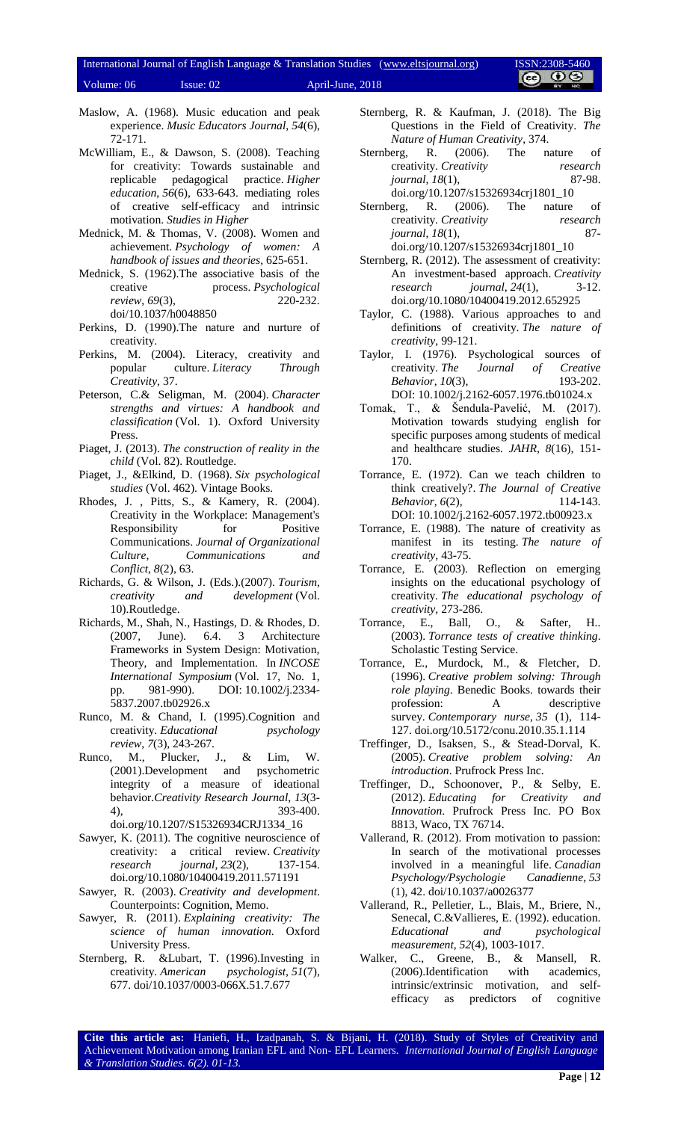# International Journal of English Language & Translation Studies [\(www.eltsjournal.org\)](http://www.eltsjournal.org/) ISSN:2308-5460<br>Velumes 06 - January 02 - January 2010 Volume: 06 Issue: 02 April-June, 2018

- Maslow, A. (1968). Music education and peak experience. *Music Educators Journal*, *54*(6), 72-171.
- McWilliam, E., & Dawson, S. (2008). Teaching for creativity: Towards sustainable and replicable pedagogical practice. *Higher education*, *56*(6), 633-643. mediating roles of creative self-efficacy and intrinsic motivation. *Studies in Higher*
- Mednick, M. & Thomas, V. (2008). Women and achievement. *Psychology of women: A handbook of issues and theories*, 625-651.
- Mednick, S. (1962).The associative basis of the creative process. *Psychological review*, *69*(3), 220-232. doi/10.1037/h0048850
- Perkins, D. (1990).The nature and nurture of creativity.
- Perkins, M. (2004). Literacy, creativity and popular culture. *Literacy Through Creativity*, 37.
- Peterson, C.& Seligman, M. (2004). *Character strengths and virtues: A handbook and classification* (Vol. 1). Oxford University Press.
- Piaget, J. (2013). *The construction of reality in the child* (Vol. 82). Routledge.
- Piaget, J., &Elkind, D. (1968). *Six psychological studies* (Vol. 462). Vintage Books.
- Rhodes, J. , Pitts, S., & Kamery, R. (2004). Creativity in the Workplace: Management's Responsibility for Positive Communications. *Journal of Organizational Culture, Communications and Conflict*, *8*(2), 63.
- Richards, G. & Wilson, J. (Eds.).(2007). *Tourism, creativity and development* (Vol. 10).Routledge.
- Richards, M., Shah, N., Hastings, D. & Rhodes, D. (2007, June). 6.4. 3 Architecture Frameworks in System Design: Motivation, Theory, and Implementation. In *INCOSE International Symposium* (Vol. 17, No. 1, pp. 981-990). DOI: 10.1002/j.2334- 5837.2007.tb02926.x
- Runco, M. & Chand, I. (1995).Cognition and creativity. *Educational psychology review*, *7*(3), 243-267.
- Runco, M., Plucker, J., & Lim, W. (2001).Development and psychometric integrity of a measure of ideational behavior.*Creativity Research Journal*, *13*(3- 4), 393-400. doi.org/10.1207/S15326934CRJ1334\_16
- Sawyer, K. (2011). The cognitive neuroscience of creativity: a critical review. *Creativity research journal*, *23*(2), 137-154. doi.org/10.1080/10400419.2011.571191
- Sawyer, R. (2003). *Creativity and development*. Counterpoints: Cognition, Memo.
- Sawyer, R. (2011). *Explaining creativity: The science of human innovation*. Oxford University Press.
- Sternberg, R. &Lubart, T. (1996).Investing in creativity. *American psychologist*, *51*(7), 677. doi/10.1037/0003-066X.51.7.677
- Sternberg, R. & Kaufman, J. (2018). The Big Questions in the Field of Creativity. *The Nature of Human Creativity*, 374.
- Sternberg, R. (2006). The nature of creativity. *Creativity research journal*, *18*(1), 87-98. doi.org/10.1207/s15326934crj1801\_10
- Sternberg, R. (2006). The nature of creativity. *Creativity research journal*, *18*(1), 87 doi.org/10.1207/s15326934crj1801\_10
- Sternberg, R. (2012). The assessment of creativity: An investment-based approach. *Creativity research journal*, *24*(1), 3-12. doi.org/10.1080/10400419.2012.652925
- Taylor, C. (1988). Various approaches to and definitions of creativity. *The nature of creativity*, 99-121.
- Taylor, I. (1976). Psychological sources of creativity. *The Journal of Creative Behavior*, *10*(3), 193-202. DOI: 10.1002/j.2162-6057.1976.tb01024.x
- Tomak, T., & Šendula-Pavelić, M. (2017). Motivation towards studying english for specific purposes among students of medical and healthcare studies. *JAHR*, *8*(16), 151- 170.
- Torrance, E. (1972). Can we teach children to think creatively?. *The Journal of Creative Behavior*, *6*(2), DOI: 10.1002/j.2162-6057.1972.tb00923.x
- Torrance, E. (1988). The nature of creativity as manifest in its testing. *The nature of creativity*, 43-75.
- Torrance, E. (2003). Reflection on emerging insights on the educational psychology of creativity. *The educational psychology of creativity*, 273-286.
- Torrance, E., Ball, O., & Safter, H.. (2003). *Torrance tests of creative thinking*. Scholastic Testing Service.
- Torrance, E., Murdock, M., & Fletcher, D. (1996). *Creative problem solving: Through role playing*. Benedic Books. towards their profession: A descriptive survey. *Contemporary nurse*, *35* (1), 114- 127. doi.org/10.5172/conu.2010.35.1.114
- Treffinger, D., Isaksen, S., & Stead-Dorval, K. (2005). *Creative problem solving: An introduction*. Prufrock Press Inc.
- Treffinger, D., Schoonover, P., & Selby, E. (2012). *Educating for Creativity and Innovation*. Prufrock Press Inc. PO Box 8813, Waco, TX 76714.
- Vallerand, R. (2012). From motivation to passion: In search of the motivational processes involved in a meaningful life. *Canadian Psychology/Psychologie Canadienne*, *53* (1), 42. doi/10.1037/a0026377
- Vallerand, R., Pelletier, L., Blais, M., Briere, N., Senecal, C.&Vallieres, E. (1992). education. *Educational and psychological measurement*, *52*(4), 1003-1017.
- Walker, C., Greene, B., & Mansell, R. (2006).Identification with academics, intrinsic/extrinsic motivation, and selfefficacy as predictors of cognitive

**Cite this article as:** Haniefi, H., Izadpanah, S. & Bijani, H. (2018). Study of Styles of Creativity and Achievement Motivation among Iranian EFL and Non- EFL Learners. *International Journal of English Language & Translation Studies*. *6(2). 01-13.*